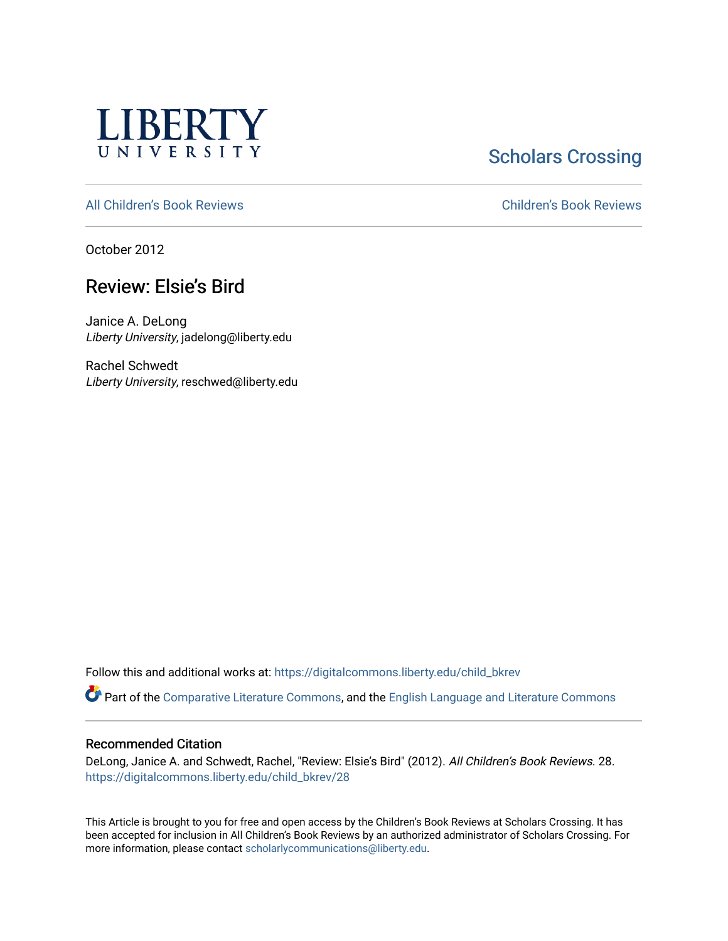

# **Scholars Crossing**

[All Children's Book Reviews](https://digitalcommons.liberty.edu/child_bkrev) [Children's Book Reviews](https://digitalcommons.liberty.edu/child_bookrev) 

October 2012

## Review: Elsie's Bird

Janice A. DeLong Liberty University, jadelong@liberty.edu

Rachel Schwedt Liberty University, reschwed@liberty.edu

Follow this and additional works at: [https://digitalcommons.liberty.edu/child\\_bkrev](https://digitalcommons.liberty.edu/child_bkrev?utm_source=digitalcommons.liberty.edu%2Fchild_bkrev%2F28&utm_medium=PDF&utm_campaign=PDFCoverPages) 

Part of the [Comparative Literature Commons](http://network.bepress.com/hgg/discipline/454?utm_source=digitalcommons.liberty.edu%2Fchild_bkrev%2F28&utm_medium=PDF&utm_campaign=PDFCoverPages), and the [English Language and Literature Commons](http://network.bepress.com/hgg/discipline/455?utm_source=digitalcommons.liberty.edu%2Fchild_bkrev%2F28&utm_medium=PDF&utm_campaign=PDFCoverPages)

#### Recommended Citation

DeLong, Janice A. and Schwedt, Rachel, "Review: Elsie's Bird" (2012). All Children's Book Reviews. 28. [https://digitalcommons.liberty.edu/child\\_bkrev/28](https://digitalcommons.liberty.edu/child_bkrev/28?utm_source=digitalcommons.liberty.edu%2Fchild_bkrev%2F28&utm_medium=PDF&utm_campaign=PDFCoverPages)

This Article is brought to you for free and open access by the Children's Book Reviews at Scholars Crossing. It has been accepted for inclusion in All Children's Book Reviews by an authorized administrator of Scholars Crossing. For more information, please contact [scholarlycommunications@liberty.edu](mailto:scholarlycommunications@liberty.edu).